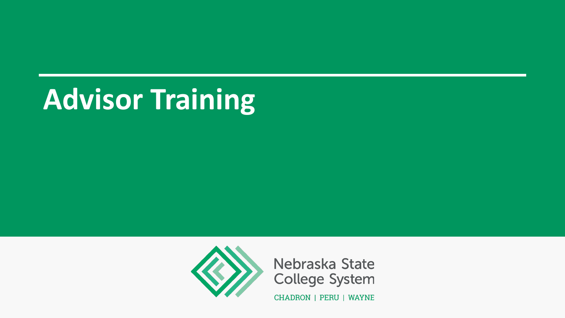# **Advisor Training**



Nebraska State **College System** 

CHADRON | PERU | WAYNE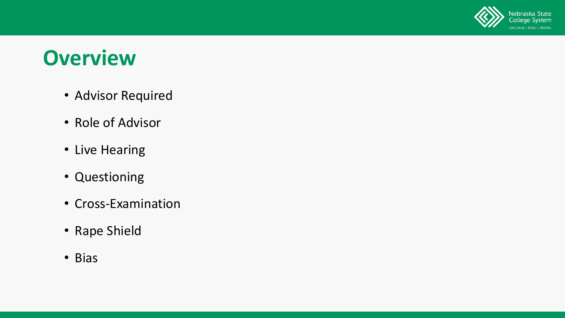

#### **Overview**

- Advisor Required
- Role of Advisor
- Live Hearing
- Questioning
- Cross-Examination
- Rape Shield
- Bias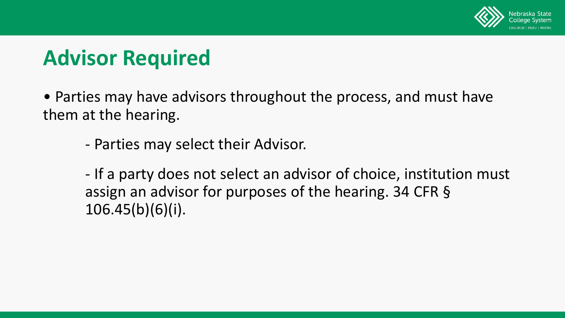

# **Advisor Required**

• Parties may have advisors throughout the process, and must have them at the hearing.

- Parties may select their Advisor.

- If a party does not select an advisor of choice, institution must assign an advisor for purposes of the hearing. 34 CFR § 106.45(b)(6)(i).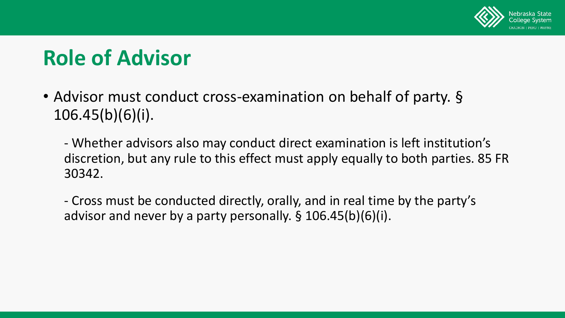

• Advisor must conduct cross-examination on behalf of party. § 106.45(b)(6)(i).

- Whether advisors also may conduct direct examination is left institution's discretion, but any rule to this effect must apply equally to both parties. 85 FR 30342.

- Cross must be conducted directly, orally, and in real time by the party's advisor and never by a party personally. § 106.45(b)(6)(i).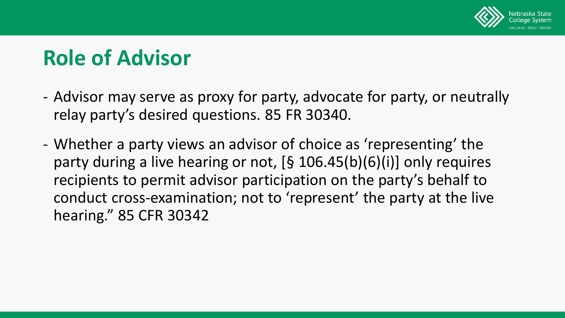

- Advisor may serve as proxy for party, advocate for party, or neutrally relay party's desired questions. 85 FR 30340.
- Whether a party views an advisor of choice as 'representing' the party during a live hearing or not, [§ 106.45(b)(6)(i)] only requires recipients to permit advisor participation on the party's behalf to conduct cross-examination; not to 'represent' the party at the live hearing." 85 CFR 30342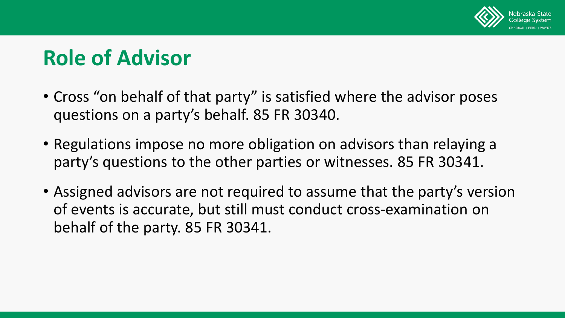

- Cross "on behalf of that party" is satisfied where the advisor poses questions on a party's behalf. 85 FR 30340.
- Regulations impose no more obligation on advisors than relaying a party's questions to the other parties or witnesses. 85 FR 30341.
- Assigned advisors are not required to assume that the party's version of events is accurate, but still must conduct cross-examination on behalf of the party. 85 FR 30341.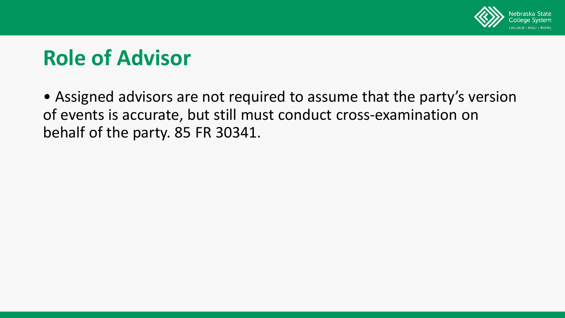

• Assigned advisors are not required to assume that the party's version of events is accurate, but still must conduct cross-examination on behalf of the party. 85 FR 30341.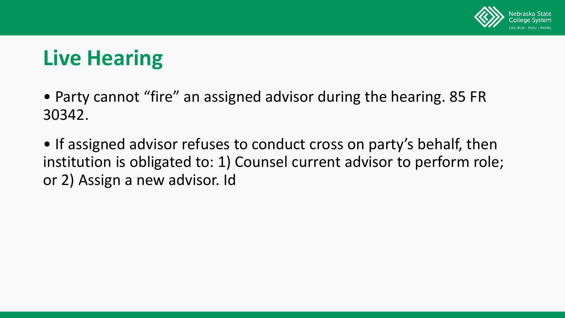

# **Live Hearing**

• Party cannot "fire" an assigned advisor during the hearing. 85 FR 30342.

• If assigned advisor refuses to conduct cross on party's behalf, then institution is obligated to: 1) Counsel current advisor to perform role; or 2) Assign a new advisor. Id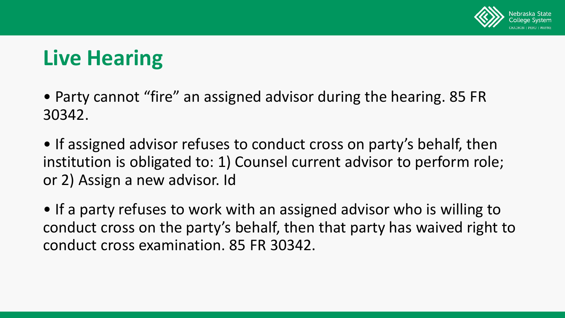

# **Live Hearing**

• Party cannot "fire" an assigned advisor during the hearing. 85 FR 30342.

• If assigned advisor refuses to conduct cross on party's behalf, then institution is obligated to: 1) Counsel current advisor to perform role; or 2) Assign a new advisor. Id

• If a party refuses to work with an assigned advisor who is willing to conduct cross on the party's behalf, then that party has waived right to conduct cross examination. 85 FR 30342.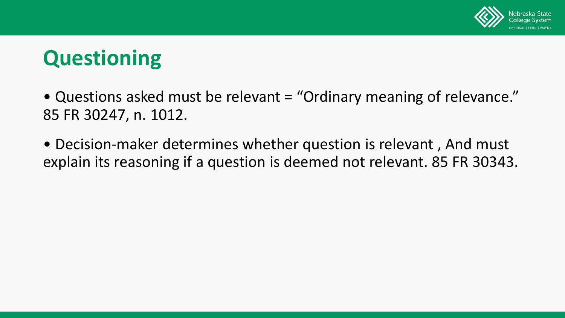

# **Questioning**

• Questions asked must be relevant = "Ordinary meaning of relevance." 85 FR 30247, n. 1012.

• Decision-maker determines whether question is relevant , And must explain its reasoning if a question is deemed not relevant. 85 FR 30343.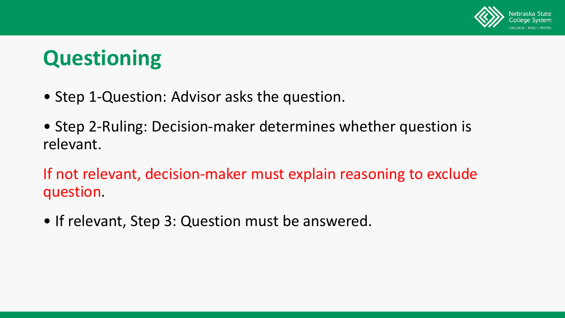

# **Questioning**

- Step 1-Question: Advisor asks the question.
- Step 2-Ruling: Decision-maker determines whether question is relevant.

If not relevant, decision-maker must explain reasoning to exclude question.

• If relevant, Step 3: Question must be answered.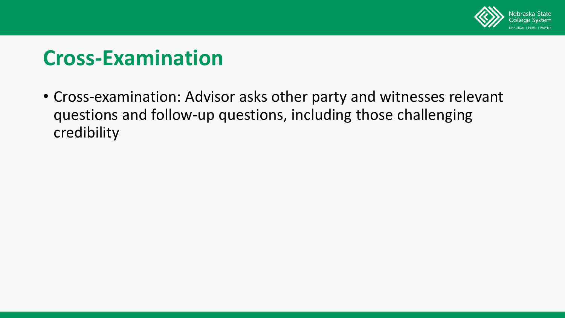

## **Cross-Examination**

• Cross-examination: Advisor asks other party and witnesses relevant questions and follow-up questions, including those challenging credibility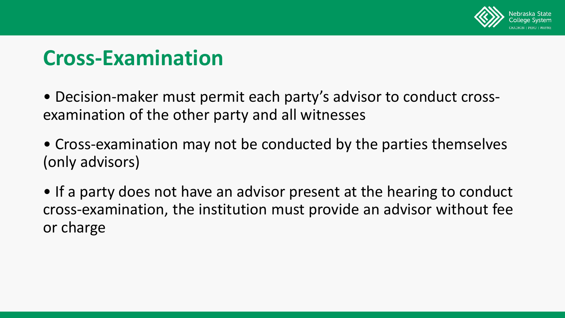

## **Cross-Examination**

• Decision-maker must permit each party's advisor to conduct crossexamination of the other party and all witnesses

• Cross-examination may not be conducted by the parties themselves (only advisors)

• If a party does not have an advisor present at the hearing to conduct cross-examination, the institution must provide an advisor without fee or charge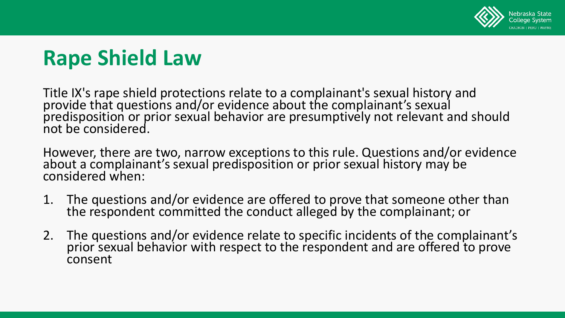

# **Rape Shield Law**

Title IX's rape shield protections relate to a complainant's sexual history and provide that questions and/or evidence about the complainant's sexual predisposition or prior sexual behavior are presumptively not relevant and should not be considered.

However, there are two, narrow exceptions to this rule. Questions and/or evidence about a complainant's sexual predisposition or prior sexual history may be considered when:

- 1. The questions and/or evidence are offered to prove that someone other than<br>the respondent committed the conduct alleged by the complainant; or
- 2. The questions and/or evidence relate to specific incidents of the complainant's prior sexual behavior with respect to the respondent and are offered to prove consent